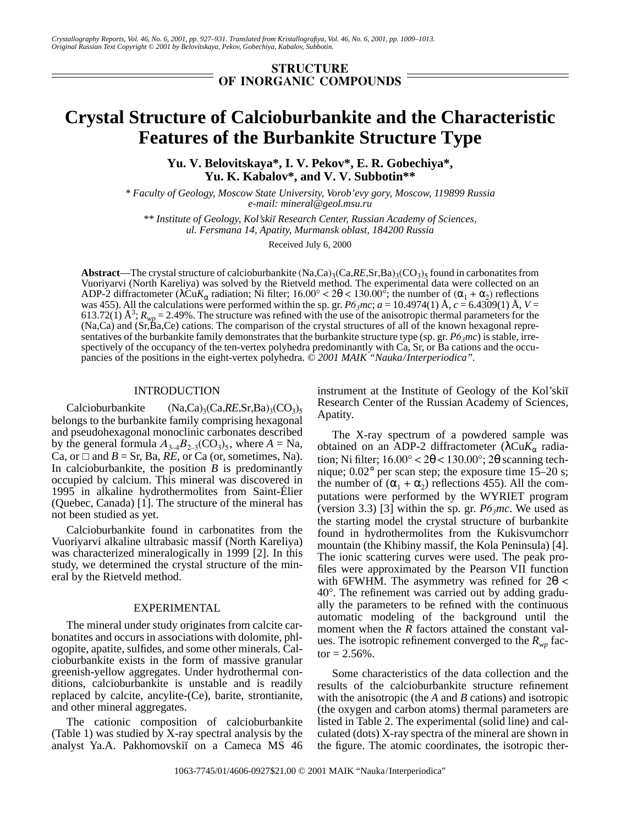# **STRUCTURE OF INORGANIC COMPOUNDS**

# **Crystal Structure of Calcioburbankite and the Characteristic Features of the Burbankite Structure Type**

**Yu. V. Belovitskaya\*, I. V. Pekov\*, E. R. Gobechiya\*, Yu. K. Kabalov\*, and V. V. Subbotin\*\***

*\* Faculty of Geology, Moscow State University, Vorob'evy gory, Moscow, 119899 Russia e-mail: mineral@geol.msu.ru*

*\*\* Institute of Geology, Kol'skiœ Research Center, Russian Academy of Sciences, ul. Fersmana 14, Apatity, Murmansk oblast, 184200 Russia*

Received July 6, 2000

Abstract—The crystal structure of calcioburbankite (Na,Ca)<sub>3</sub>(Ca,*RE*,Sr,Ba)<sub>3</sub>(CO<sub>3</sub>)<sub>5</sub> found in carbonatites from Vuoriyarvi (North Kareliya) was solved by the Rietveld method. The experimental data were collected on an ADP-2 diffractometer ( $\lambda$ Cu $K_{\alpha}$  radiation; Ni filter; 16.00° < 2 $\theta$  < 130.00°; the number of ( $\alpha_1 + \alpha_2$ ) reflections was 455). All the calculations were performed within the sp. gr.  $P6_3mc$ ;  $a = 10.4974(1)$  Å,  $c = 6.4309(1)$  Å,  $V =$ 613.72(1)  $\AA^3$ ;  $R_{wp}$  = 2.49%. The structure was refined with the use of the anisotropic thermal parameters for the (Na,Ca) and (Sr,Ba,Ce) cations. The comparison of the crystal structures of all of the known hexagonal representatives of the burbankite family demonstrates that the burbankite structure type (sp. gr.  $P6_3mc$ ) is stable, irrespectively of the occupancy of the ten-vertex polyhedra predominantly with Ca, Sr, or Ba cations and the occupancies of the positions in the eight-vertex polyhedra. *© 2001 MAIK "Nauka/Interperiodica".*

## INTRODUCTION

Calcioburbankite  $(Na, Ca)_{3}(Ca, RE, Sr, Ba)_{3}(CO_{3})_{5}$ belongs to the burbankite family comprising hexagonal and pseudohexagonal monoclinic carbonates described by the general formula  $A_{3-4}B_{2-3}(CO_3)_5$ , where  $A = Na$ , Ca, or  $\Box$  and *B* = Sr, Ba, *RE*, or Ca (or, sometimes, Na). In calcioburbankite, the position  $B$  is predominantly occupied by calcium. This mineral was discovered in 1995 in alkaline hydrothermolites from Saint-Élier (Quebec, Canada) [1]. The structure of the mineral has not been studied as yet.

Calcioburbankite found in carbonatites from the Vuoriyarvi alkaline ultrabasic massif (North Kareliya) was characterized mineralogically in 1999 [2]. In this study, we determined the crystal structure of the mineral by the Rietveld method.

## EXPERIMENTAL

The mineral under study originates from calcite carbonatites and occurs in associations with dolomite, phlogopite, apatite, sulfides, and some other minerals. Calcioburbankite exists in the form of massive granular greenish-yellow aggregates. Under hydrothermal conditions, calcioburbankite is unstable and is readily replaced by calcite, ancylite-(Ce), barite, strontianite, and other mineral aggregates.

The cationic composition of calcioburbankite (Table 1) was studied by X-ray spectral analysis by the analyst Ya.A. Pakhomovskii on a Cameca MS 46 instrument at the Institute of Geology of the Kol'ski Research Center of the Russian Academy of Sciences, Apatity.

The X-ray spectrum of a powdered sample was obtained on an ADP-2 diffractometer (λCu $K_\alpha$  radiation; Ni filter;  $16.00^{\circ} < 20 < 130.00^{\circ}$ ;  $2\theta$  scanning technique; 0.02° per scan step; the exposure time 15–20 s; the number of  $(\alpha_1 + \alpha_2)$  reflections 455). All the computations were performed by the WYRIET program (version 3.3) [3] within the sp. gr.  $P6<sub>3</sub>mc$ . We used as the starting model the crystal structure of burbankite found in hydrothermolites from the Kukisvumchorr mountain (the Khibiny massif, the Kola Peninsula) [4]. The ionic scattering curves were used. The peak profiles were approximated by the Pearson VII function with 6FWHM. The asymmetry was refined for  $2\theta$  < 40°. The refinement was carried out by adding gradually the parameters to be refined with the continuous automatic modeling of the background until the moment when the *R* factors attained the constant values. The isotropic refinement converged to the  $R_{wp}$  factor  $= 2.56\%$ .

Some characteristics of the data collection and the results of the calcioburbankite structure refinement with the anisotropic (the *A* and *B* cations) and isotropic (the oxygen and carbon atoms) thermal parameters are listed in Table 2. The experimental (solid line) and calculated (dots) X-ray spectra of the mineral are shown in the figure. The atomic coordinates, the isotropic ther-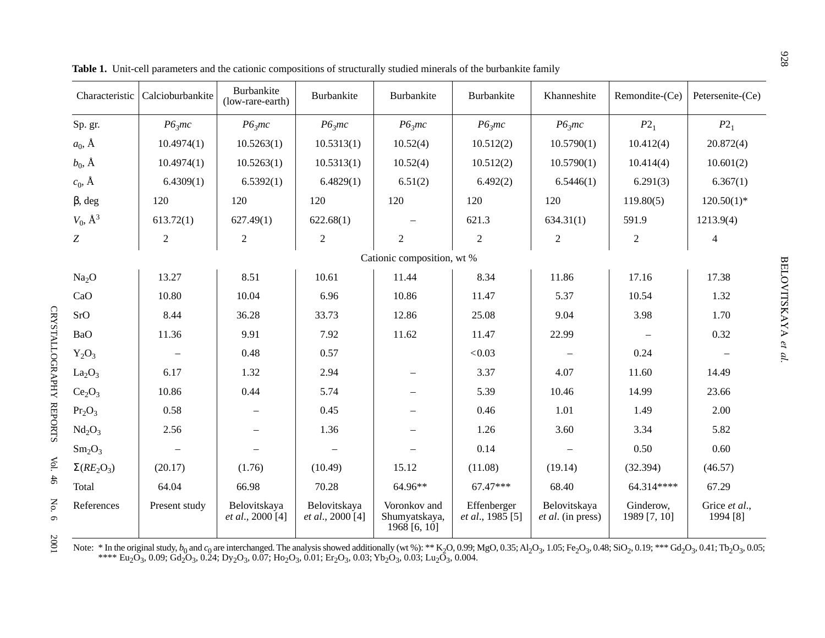| Characteristic                 | Calcioburbankite         | Burbankite<br>(low-rare-earth)   | Burbankite                                  | Burbankite                                   | Burbankite                              | Khanneshite                              | Remondite-(Ce)            | Petersenite-(Ce)          |  |
|--------------------------------|--------------------------|----------------------------------|---------------------------------------------|----------------------------------------------|-----------------------------------------|------------------------------------------|---------------------------|---------------------------|--|
| Sp. gr.                        | P6 <sub>3</sub> mc       | P6 <sub>3</sub> mc               | P6 <sub>3</sub> mc                          | P6 <sub>3</sub> mc                           | P6 <sub>3</sub> mc                      | P6 <sub>3</sub> mc                       | $P2_1$                    | $P2_1$                    |  |
| $a_0$ , $\AA$                  | 10.4974(1)               | 10.5263(1)                       | 10.5313(1)                                  | 10.52(4)                                     | 10.512(2)                               | 10.5790(1)                               | 10.412(4)                 | 20.872(4)                 |  |
| $b_0$ , $\AA$                  | 10.4974(1)               | 10.5263(1)                       | 10.5313(1)                                  | 10.52(4)                                     | 10.512(2)                               | 10.5790(1)                               | 10.414(4)                 | 10.601(2)                 |  |
| $c_0$ , Å                      | 6.4309(1)                | 6.5392(1)                        | 6.4829(1)                                   | 6.51(2)                                      | 6.492(2)                                | 6.5446(1)                                | 6.291(3)                  | 6.367(1)                  |  |
| $\beta$ , deg                  | 120                      | 120                              | 120                                         | 120                                          | 120                                     | 120                                      | 119.80(5)                 | $120.50(1)$ *             |  |
| $V_0$ , $\AA^3$                | 613.72(1)                | 627.49(1)                        | 622.68(1)                                   | $\overline{\phantom{0}}$                     | 621.3                                   | 634.31(1)                                | 591.9                     | 1213.9(4)                 |  |
| Z                              | $\boldsymbol{2}$         | $\boldsymbol{2}$                 | $\sqrt{2}$                                  | $\overline{2}$                               | $\overline{c}$                          | $\sqrt{2}$                               | $\overline{c}$            | $\overline{4}$            |  |
| Cationic composition, wt %     |                          |                                  |                                             |                                              |                                         |                                          |                           |                           |  |
| Na <sub>2</sub> O              | 13.27                    | 8.51                             | 10.61                                       | 11.44                                        | 8.34                                    | 11.86                                    | 17.16                     | 17.38                     |  |
| CaO                            | 10.80                    | 10.04                            | 6.96                                        | 10.86                                        | 11.47                                   | 5.37                                     | 10.54                     | 1.32                      |  |
| SrO                            | 8.44                     | 36.28                            | 33.73                                       | 12.86                                        | 25.08                                   | 9.04                                     | 3.98                      | 1.70                      |  |
| BaO                            | 11.36                    | 9.91                             | 7.92                                        | 11.62                                        | 11.47                                   | 22.99                                    | $\overline{\phantom{a}}$  | 0.32                      |  |
| $Y_2O_3$                       | $\overline{\phantom{m}}$ | 0.48                             | 0.57                                        |                                              | < 0.03                                  | $\overline{\phantom{m}}$                 | 0.24                      | $\overline{\phantom{m}}$  |  |
| La <sub>2</sub> O <sub>3</sub> | 6.17                     | 1.32                             | 2.94                                        | $\qquad \qquad -$                            | 3.37                                    | 4.07                                     | 11.60                     | 14.49                     |  |
| Ce <sub>2</sub> O <sub>3</sub> | 10.86                    | 0.44                             | 5.74                                        | $\overline{\phantom{0}}$                     | 5.39                                    | 10.46                                    | 14.99                     | 23.66                     |  |
| Pr <sub>2</sub> O <sub>3</sub> | 0.58                     | $\overline{\phantom{m}}$         | 0.45                                        |                                              | 0.46                                    | 1.01                                     | 1.49                      | 2.00                      |  |
| Nd <sub>2</sub> O <sub>3</sub> | 2.56                     |                                  | 1.36                                        |                                              | 1.26                                    | 3.60                                     | 3.34                      | 5.82                      |  |
| $Sm_2O_3$                      | $\overline{\phantom{a}}$ | $\overline{\phantom{m}}$         | $\overline{\phantom{m}}$                    |                                              | 0.14                                    |                                          | 0.50                      | 0.60                      |  |
| $\Sigma(RE_2O_3)$              | (20.17)                  | (1.76)                           | (10.49)                                     | 15.12                                        | (11.08)                                 | (19.14)                                  | (32.394)                  | (46.57)                   |  |
| Total                          | 64.04                    | 66.98                            | 70.28                                       | 64.96**                                      | $67.47***$                              | 68.40                                    | 64.314****                | 67.29                     |  |
| References                     | Present study            | Belovitskaya<br>et al., 2000 [4] | Belovitskaya<br>et al., 2000 <sup>[4]</sup> | Voronkov and<br>Shumyatskaya,<br>1968[6, 10] | Effenberger<br><i>et al.</i> , 1985 [5] | Belovitskaya<br><i>et al.</i> (in press) | Ginderow,<br>1989 [7, 10] | Grice et al.,<br>1994 [8] |  |

**Table 1.** Unit-cell parameters and the cationic compositions of structurally studied minerals of the burbankite family

CRYSTALLOGRAPHY REPORTS

CRYSTALLOGRAPHY REPORTS

Vol. 46

No. 6

2001

Note: \* In the original study,  $b_0$  and  $c_0$  are interchanged. The analysis showed additionally (wt %): \*\* K<sub>2</sub>O, 0.99; MgO, 0.35; Al<sub>2</sub>O<sub>3</sub>, 1.05; Fe<sub>2</sub>O<sub>3</sub>, 0.48; SiO<sub>2</sub>, 0.19; \*\*\* Gd<sub>2</sub>O<sub>3</sub>, 0.41; Tb<sub>2</sub>O<sub>3</sub>, 0.05;  $^{***}$  Eu2O3, 0.09; Gd2O3, 0.24; Dy2O3, 0.07; Ho2O3, 0.01; Er2O3, 0.03; Yb2O3, 0.03; Lu2O3, 0.004.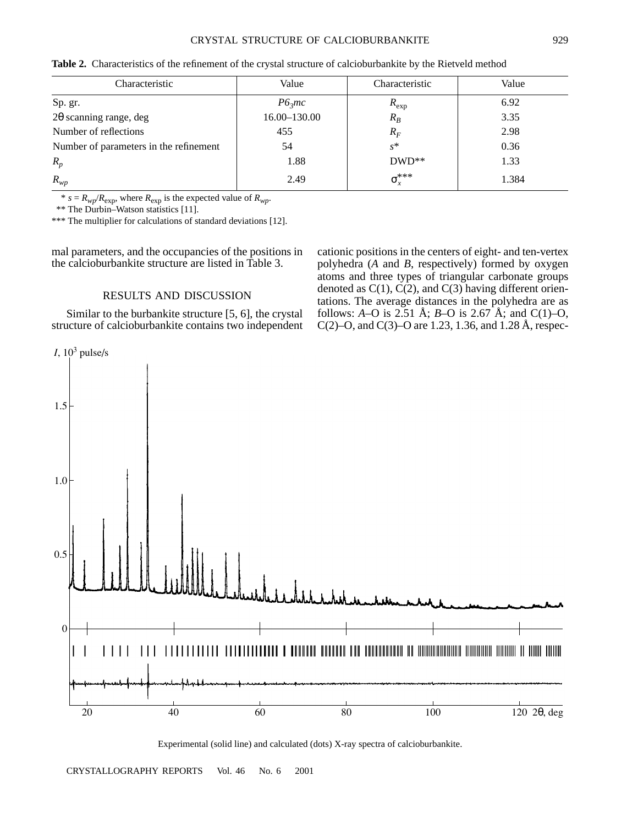| Characteristic                         | Value              | Characteristic   | Value |
|----------------------------------------|--------------------|------------------|-------|
| Sp. gr.                                | P6 <sub>3</sub> mc | $R_{\rm exp}$    | 6.92  |
| $2\theta$ scanning range, deg          | 16.00-130.00       | $R_B$            | 3.35  |
| Number of reflections                  | 455                | $R_F$            | 2.98  |
| Number of parameters in the refinement | 54                 | $s^*$            | 0.36  |
| $R_p$                                  | 1.88               | $DWD^{**}$       | 1.33  |
| $R_{wp}$                               | 2.49               | $\sigma_r^{***}$ | 1.384 |

**Table 2.** Characteristics of the refinement of the crystal structure of calcioburbankite by the Rietveld method

\*  $s = R_{wp}/R_{exp}$ , where  $R_{exp}$  is the expected value of  $R_{wp}$ .

\*\* The Durbin–Watson statistics [11].

\*\*\* The multiplier for calculations of standard deviations [12].

mal parameters, and the occupancies of the positions in the calcioburbankite structure are listed in Table 3.

### RESULTS AND DISCUSSION

Similar to the burbankite structure [5, 6], the crystal structure of calcioburbankite contains two independent cationic positions in the centers of eight- and ten-vertex polyhedra (*A* and *B*, respectively) formed by oxygen atoms and three types of triangular carbonate groups denoted as  $C(1)$ ,  $C(2)$ , and  $C(3)$  having different orientations. The average distances in the polyhedra are as follows:  $A - O$  is 2.51 Å;  $B - O$  is 2.67 Å; and C(1)–O, C(2)–O, and C(3)–O are 1.23, 1.36, and 1.28 Å, respec-



Experimental (solid line) and calculated (dots) X-ray spectra of calcioburbankite.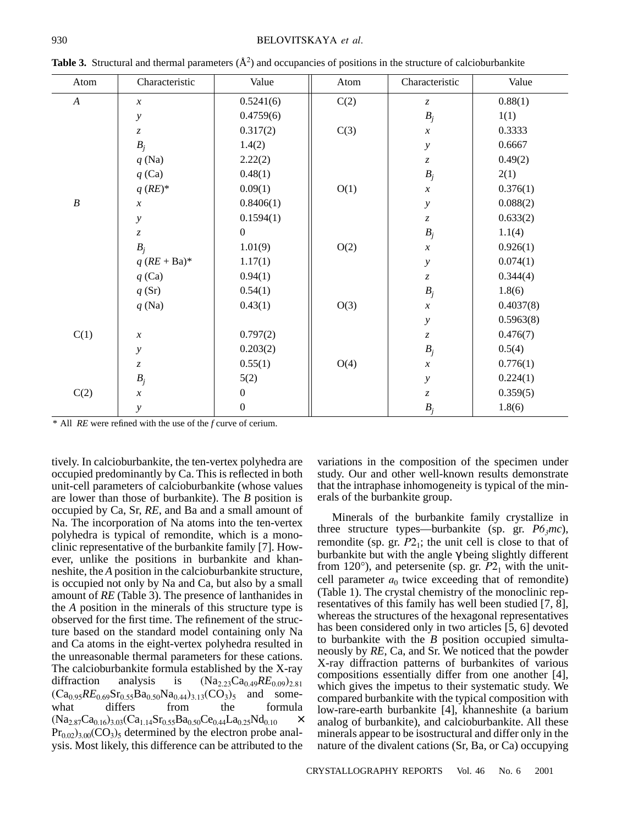| Atom             | Characteristic                | Value            | Atom | Characteristic                | Value     |
|------------------|-------------------------------|------------------|------|-------------------------------|-----------|
| $\boldsymbol{A}$ | $\boldsymbol{x}$              | 0.5241(6)        | C(2) | $\ensuremath{\mathnormal{Z}}$ | 0.88(1)   |
|                  | у                             | 0.4759(6)        |      | $B_j$                         | 1(1)      |
|                  | $\ensuremath{\mathnormal{Z}}$ | 0.317(2)         | C(3) | $\boldsymbol{x}$              | 0.3333    |
|                  | $B_j$                         | 1.4(2)           |      | $\mathcal{Y}$                 | 0.6667    |
|                  | $q$ (Na)                      | 2.22(2)          |      | $\ensuremath{\mathnormal{Z}}$ | 0.49(2)   |
|                  | $q$ (Ca)                      | 0.48(1)          |      | $B_j$                         | 2(1)      |
|                  | $q$ (RE)*                     | 0.09(1)          | O(1) | $\boldsymbol{\mathcal{X}}$    | 0.376(1)  |
| $\boldsymbol{B}$ | $\boldsymbol{\mathcal{X}}$    | 0.8406(1)        |      | $\mathcal{Y}$                 | 0.088(2)  |
|                  | у                             | 0.1594(1)        |      | $\ensuremath{\mathnormal{Z}}$ | 0.633(2)  |
|                  | $\ensuremath{\mathnormal{Z}}$ | $\boldsymbol{0}$ |      | $B_j$                         | 1.1(4)    |
|                  | $B_i$                         | 1.01(9)          | O(2) | $\boldsymbol{x}$              | 0.926(1)  |
|                  | $q$ (RE + Ba)*                | 1.17(1)          |      | $\mathcal{Y}$                 | 0.074(1)  |
|                  | $q$ (Ca)                      | 0.94(1)          |      | $\ensuremath{\mathnormal{Z}}$ | 0.344(4)  |
|                  | q(Sr)                         | 0.54(1)          |      | $B_j$                         | 1.8(6)    |
|                  | $q$ (Na)                      | 0.43(1)          | O(3) | $\boldsymbol{x}$              | 0.4037(8) |
|                  |                               |                  |      | $\mathcal{Y}$                 | 0.5963(8) |
| C(1)             | $\boldsymbol{\mathcal{X}}$    | 0.797(2)         |      | $\ensuremath{\mathnormal{Z}}$ | 0.476(7)  |
|                  | $\mathcal{Y}$                 | 0.203(2)         |      | $B_j$                         | 0.5(4)    |
|                  | $\ensuremath{\mathnormal{Z}}$ | 0.55(1)          | O(4) | $\boldsymbol{x}$              | 0.776(1)  |
|                  | $B_j$                         | 5(2)             |      | $\mathcal{Y}$                 | 0.224(1)  |
| C(2)             | $\boldsymbol{\mathcal{X}}$    | $\boldsymbol{0}$ |      | $\boldsymbol{z}$              | 0.359(5)  |
|                  | $\mathcal{Y}$                 | $\boldsymbol{0}$ |      | $B_j$                         | 1.8(6)    |

**Table 3.** Structural and thermal parameters  $(\AA^2)$  and occupancies of positions in the structure of calcioburbankite

\* All *RE* were refined with the use of the *f* curve of cerium.

tively. In calcioburbankite, the ten-vertex polyhedra are occupied predominantly by Ca. This is reflected in both unit-cell parameters of calcioburbankite (whose values are lower than those of burbankite). The *B* position is occupied by Ca, Sr, *RE*, and Ba and a small amount of Na. The incorporation of Na atoms into the ten-vertex polyhedra is typical of remondite, which is a monoclinic representative of the burbankite family [7]. However, unlike the positions in burbankite and khanneshite, the *A* position in the calcioburbankite structure, is occupied not only by Na and Ca, but also by a small amount of *RE* (Table 3). The presence of lanthanides in the *A* position in the minerals of this structure type is observed for the first time. The refinement of the structure based on the standard model containing only Na and Ca atoms in the eight-vertex polyhedra resulted in the unreasonable thermal parameters for these cations. The calcioburbankite formula established by the X-ray diffraction analysis is  $(Na_{2,23}Ca_{0,49}RE_{0.09})_{2.81}$  $(Ca_{0.95}RE_{0.69}Sr_{0.55}Ba_{0.50}Na_{0.44})_{3.13}(CO_3)_5$  and somewhat differs from the formula what differs from the formula  $(Na_{2.87}Ca_{0.16})_{3.03}(Ca_{1.14}Sr_{0.55}Ba_{0.50}Ce_{0.44}La_{0.25}Nd_{0.10} \times$  $Pr<sub>0.02</sub>$ )<sub>3.00</sub>(CO<sub>3</sub>)<sub>5</sub> determined by the electron probe analysis. Most likely, this difference can be attributed to the

variations in the composition of the specimen under study. Our and other well-known results demonstrate that the intraphase inhomogeneity is typical of the minerals of the burbankite group.

Minerals of the burbankite family crystallize in three structure types—burbankite (sp. gr.  $P6<sub>3</sub>mc$ ), remondite (sp. gr.  $P2<sub>1</sub>$ ; the unit cell is close to that of burbankite but with the angle γ being slightly different from 120 $^{\circ}$ ), and petersenite (sp. gr.  $P2<sub>1</sub>$  with the unitcell parameter  $a_0$  twice exceeding that of remondite) (Table 1). The crystal chemistry of the monoclinic representatives of this family has well been studied [7, 8], whereas the structures of the hexagonal representatives has been considered only in two articles [5, 6] devoted to burbankite with the *B* position occupied simultaneously by *RE*, Ca, and Sr. We noticed that the powder X-ray diffraction patterns of burbankites of various compositions essentially differ from one another [4], which gives the impetus to their systematic study. We compared burbankite with the typical composition with low-rare-earth burbankite [4], khanneshite (a barium analog of burbankite), and calcioburbankite. All these minerals appear to be isostructural and differ only in the nature of the divalent cations (Sr, Ba, or Ca) occupying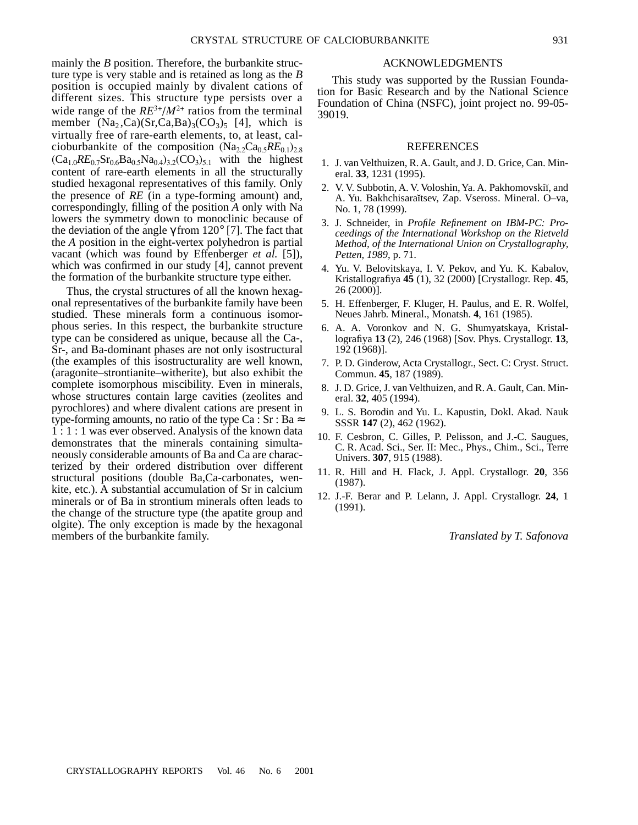mainly the *B* position. Therefore, the burbankite structure type is very stable and is retained as long as the *B* position is occupied mainly by divalent cations of different sizes. This structure type persists over a wide range of the  $RE^{3+}/M^{2+}$  ratios from the terminal member  $(Na_2, Ca)(Sr, Ca, Ba)_{3}(CO_3)_{5}$  [4], which is virtually free of rare-earth elements, to, at least, calcioburbankite of the composition  $(Na_{2,2}Ca_{0.5}RE_{0.1})_{2.8}$  $(Ca_{1,0}RE_{0.7}Sr_{0.6}Ba_{0.5}Na_{0.4})_{3,2}(CO_3)_{5,1}$  with the highest content of rare-earth elements in all the structurally studied hexagonal representatives of this family. Only the presence of *RE* (in a type-forming amount) and, correspondingly, filling of the position *A* only with Na lowers the symmetry down to monoclinic because of

the deviation of the angle  $\gamma$  from 120 $^{\circ}$  [7]. The fact that the *A* position in the eight-vertex polyhedron is partial vacant (which was found by Effenberger *et al.* [5]), which was confirmed in our study [4], cannot prevent the formation of the burbankite structure type either.

Thus, the crystal structures of all the known hexagonal representatives of the burbankite family have been studied. These minerals form a continuous isomorphous series. In this respect, the burbankite structure type can be considered as unique, because all the Ca-, Sr-, and Ba-dominant phases are not only isostructural (the examples of this isostructurality are well known, (aragonite–strontianite–witherite), but also exhibit the complete isomorphous miscibility. Even in minerals, whose structures contain large cavities (zeolites and pyrochlores) and where divalent cations are present in type-forming amounts, no ratio of the type Ca : Sr : Ba  $\approx$ 1 : 1 : 1 was ever observed. Analysis of the known data demonstrates that the minerals containing simultaneously considerable amounts of Ba and Ca are characterized by their ordered distribution over different structural positions (double Ba,Ca-carbonates, wenkite, etc.). A substantial accumulation of Sr in calcium minerals or of Ba in strontium minerals often leads to the change of the structure type (the apatite group and olgite). The only exception is made by the hexagonal members of the burbankite family.

#### ACKNOWLEDGMENTS

This study was supported by the Russian Foundation for Basic Research and by the National Science Foundation of China (NSFC), joint project no. 99-05- 39019.

#### **REFERENCES**

- 1. J. van Velthuizen, R. A. Gault, and J. D. Grice, Can. Mineral. **33**, 1231 (1995).
- 2. V. V. Subbotin, A. V. Voloshin, Ya. A. Pakhomovskiı, and A. Yu. Bakhchisaraĭtsev, Zap. Vseross. Mineral. O-va, No. 1, 78 (1999).
- 3. J. Schneider, in *Profile Refinement on IBM-PC: Proceedings of the International Workshop on the Rietveld Method, of the International Union on Crystallography, Petten, 1989*, p. 71.
- 4. Yu. V. Belovitskaya, I. V. Pekov, and Yu. K. Kabalov, Kristallografiya **45** (1), 32 (2000) [Crystallogr. Rep. **45**, 26 (2000)].
- 5. H. Effenberger, F. Kluger, H. Paulus, and E. R. Wolfel, Neues Jahrb. Mineral., Monatsh. **4**, 161 (1985).
- 6. A. A. Voronkov and N. G. Shumyatskaya, Kristallografiya **13** (2), 246 (1968) [Sov. Phys. Crystallogr. **13**, 192 (1968)].
- 7. P. D. Ginderow, Acta Crystallogr., Sect. C: Cryst. Struct. Commun. **45**, 187 (1989).
- 8. J. D. Grice, J. van Velthuizen, and R. A. Gault, Can. Mineral. **32**, 405 (1994).
- 9. L. S. Borodin and Yu. L. Kapustin, Dokl. Akad. Nauk SSSR **147** (2), 462 (1962).
- 10. F. Cesbron, C. Gilles, P. Pelisson, and J.-C. Saugues, C. R. Acad. Sci., Ser. II: Mec., Phys., Chim., Sci., Terre Univers. **307**, 915 (1988).
- 11. R. Hill and H. Flack, J. Appl. Crystallogr. **20**, 356 (1987).
- 12. J.-F. Berar and P. Lelann, J. Appl. Crystallogr. **24**, 1 (1991).

*Translated by T. Safonova*